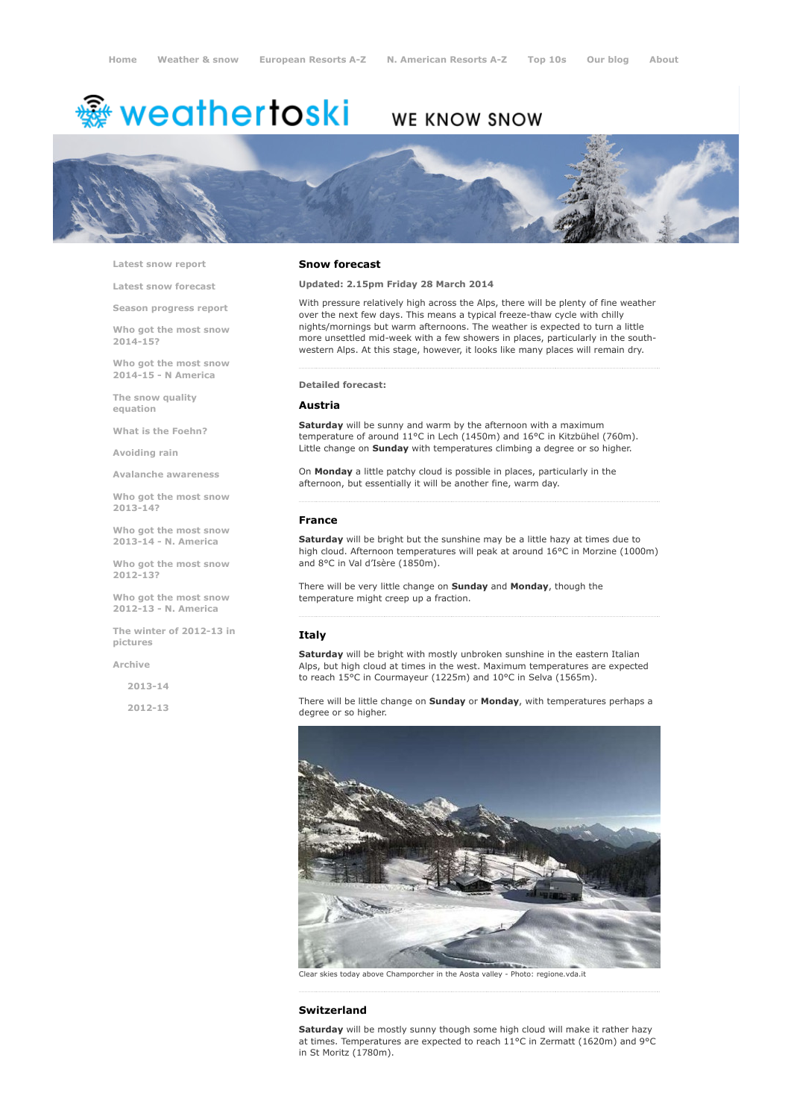# <del>鑾</del> weathertoski

# WE KNOW SNOW



Latest snow [report](http://www.weathertoski.co.uk/weather-snow/latest-snow-report/)

Latest snow [forecast](http://www.weathertoski.co.uk/weather-snow/latest-snow-forecast/)

Season [progress](http://www.weathertoski.co.uk/weather-snow/season-progress-report/) report

Who got the most snow 2014-15?

Who got the most snow 2014-15 - N America

The snow quality [equation](http://www.weathertoski.co.uk/weather-snow/the-snow-quality-equation/)

What is the [Foehn?](http://www.weathertoski.co.uk/weather-snow/what-is-the-foehn/)

[Avoiding](http://www.weathertoski.co.uk/weather-snow/avoiding-rain/) rain

Avalanche [awareness](http://www.weathertoski.co.uk/weather-snow/avalanche-awareness/)

Who got the most snow 2013-14?

Who got the most snow 2013-14 - N. America

Who got the most snow 2012-13?

Who got the most snow 2012-13 - N. America

The winter of 2012-13 in pictures

[Archive](http://www.weathertoski.co.uk/weather-snow/archive/)

2013-14

2012-13

#### Snow forecast

Updated: 2.15pm Friday 28 March 2014

With pressure relatively high across the Alps, there will be plenty of fine weather over the next few days. This means a typical freeze-thaw cycle with chilly nights/mornings but warm afternoons. The weather is expected to turn a little more unsettled mid-week with a few showers in places, particularly in the southwestern Alps. At this stage, however, it looks like many places will remain dry.

#### Detailed forecast:

#### Austria

Saturday will be sunny and warm by the afternoon with a maximum temperature of around 11°C in Lech (1450m) and 16°C in Kitzbühel (760m). Little change on **Sunday** with temperatures climbing a degree or so higher.

On Monday a little patchy cloud is possible in places, particularly in the afternoon, but essentially it will be another fine, warm day.

### France

Saturday will be bright but the sunshine may be a little hazy at times due to high cloud. Afternoon temperatures will peak at around 16°C in Morzine (1000m) and 8°C in Val d'Isère (1850m).

There will be very little change on Sunday and Monday, though the temperature might creep up a fraction.

### Italy

Saturday will be bright with mostly unbroken sunshine in the eastern Italian Alps, but high cloud at times in the west. Maximum temperatures are expected to reach 15°C in Courmayeur (1225m) and 10°C in Selva (1565m).

There will be little change on Sunday or Monday, with temperatures perhaps a degree or so higher.



Clear skies today above Champorcher in the Aosta valley Photo: regione.vda.it

#### Switzerland

Saturday will be mostly sunny though some high cloud will make it rather hazy at times. Temperatures are expected to reach 11°C in Zermatt (1620m) and 9°C in St Moritz (1780m).